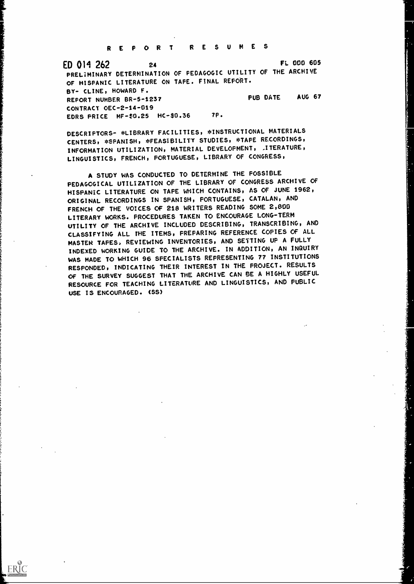REPORT RESUMES

ED 011 262 <sup>24</sup> FL 000 605 PRELIMINARY DETERMINATION OF PEDAGOGIC UTILITY OF THE ARCHIVE OF HISPANIC LITERATURE ON TAPE. FINAL REPORT. BY- CLINE, HOWARD F. REFORT NUMBER BR-5-1237 PUB DATE AUG 67 CONTRACT OEC -2 -14 -019 EDRS PRICE MF-\$0.25 HC-\$0.36 7P.

DESCRIPTORS- \*LIBRARY FACILITIES, \*INSTRUCTIONAL MATERIALS CENTERS, \*SPANISH, \*FEASIBILITY STUDIES, \*TAPE RECORDINGS, INFORMATION UTILIZATION, MATERIAL DEVELOPMENT, . ITERATURE, LINGUISTICS, FRENCH, PORTUGUESE, LIBRARY OF CONGRESS,

A STUDY WAS CONDUCTED TO DETERMINE THE POSSIBLE PEDAGOGICAL UTILIZATION OF THE LIBRARY OF CONGRESS ARCHIVE OF HISPANIC LITERATURE ON TAPE WHICH CONTAINS, AS OF JUNE 1962, ORIGINAL RECORDINGS IN SPANISH, PORTUGUESE, CATALAN, AND FRENCH OF THE VOICES Of 218 WRITERS READING SOME 2,800 LITERARY WORKS. PROCEDURES TAKEN TO ENCOURAGE LONG-TERM UTILITY OF THE ARCHIVE INCLUDED DESCRIBING, TRANSCRIBING, AND CLASSIFYING ALL THE ITEMS, PREPARING REFERENCE COPIES OF ALL MASTER TAPES, REVIEWING INVENTORIES, AND SETTING UP A FULLY INDEXED WORKING GUIDE TO THE ARCHIVE. IN ADDITION, AN INQUIRY WAS MADE TO WHICH 96 SPECIALISTS REPRESENTING 77 INSTITUTIONS RESPONDED, INDICATING THEIR INTEREST IN THE PROJECT. RESULTS OF THE SURVEY SUGGEST THAT THE ARCHIVE CAN BE A HIGHLY USEFUL RESOURCE FOR TEACHING LITERATURE AND LINGUISTICS, AND PUBLIC USE IS ENCOURAGED. (SS)

ERIC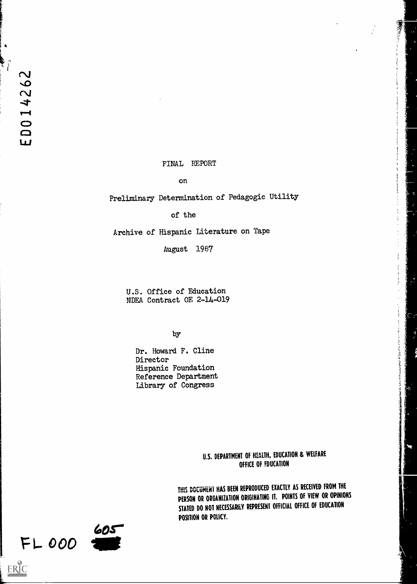$\pmb{\hat{}}$ 

### FINAL REPORT

#### on

Preliminary Determination of Pedagogic Utility

of the

Archive of Hispanic Literature on Tape

August 1967

U.S. Office of Education NDEA Contract OE 2-14-019

by

Dr. Howard F. Cline Director Hispanic Foundation Reference Department Library of Congress

> U.S. DEPARTMENT OF HEALTH, EDUCATION & WELFARE OFFICE OF FDUCATION

医心理 医无子宫 医阿尔特氏试验检尿道检查检查

HIS DOCUMENT HAS BEEN REPRODUCED EXACTLY AS RECEIVED FROM THE PERSON OR ORGANIZATION ORIGINATING IT. POINTS OF VIEW OR OPINIONS STATED DO NOT NECESSARILY REPRESENT OFFICIAL OFFICE OF EDUCATION POSITION OR POLICY.

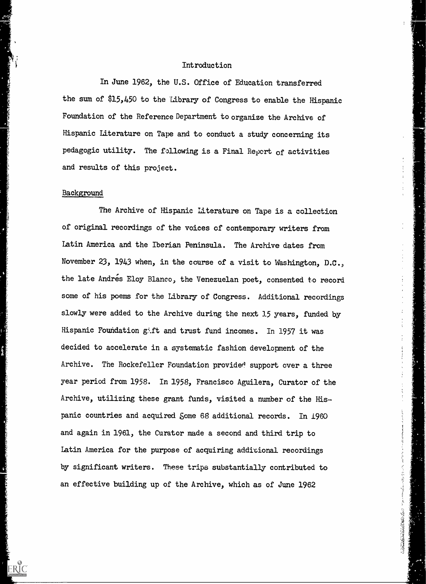## Introduction

In June 1962, the U.S. Office of Education transferred the sum of \$15,450 to the Library of Congress to enable the Hispanic Foundation of the Reference Department to organize the Archive of Hispanic Literature on Tape and to conduct a study concerning its pedagogic utility. The following is a Final Report of activities and results of this project.

# Background

ERIC

The Archive of Hispanic Literature on Tape is a collection of original recordings of the voices of contemporary writers from Latin America and the Iberian Peninsula. The Archive dates from November 23, 1943 when, in the course of a visit to Washington, D.C., the late Andres Eloy Blanco, the Venezuelan poet, consented to record some of his poems for the Library of Congress. Additional recordings slowly were added to the Archive during the next 15 years, funded by Hispanic Foundation gift and trust fund incomes. In 1957 it was decided to accelerate in a systematic fashion development of the Archive. The Rockefeller Foundation provided support over a three year period from 1958. In 1958, Francisco Aguilera, Curator of the Archive, utilizing these grant funds, visited a number of the Hispanic countries and acquired Some 68 additional records. In 1960 and again in 1961, the Curator made a second and third trip to Latin America for the purpose of acquiring additional recordings by significant writers. These trips substantially contributed to an effective building up of the Archive, which as of June 1962

大人 にほんき 脱毛性の性の きゅうしょ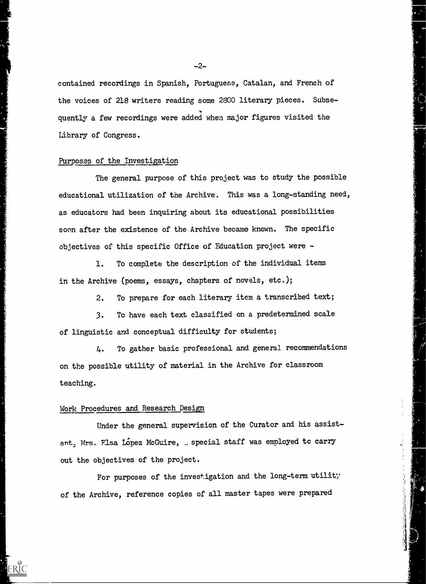contained recordings in Spanish, Portuguese, Catalan, and French of the voices of 218 writers reading some 2800 literary pieces. Subsequently a few recordings were added when major figures visited the Library of Congress.

#### Purposes of the Investigation

The general purpose of this project was to study the possible educational utilization of the Archive. This was a long-standing need, as educators had been inquiring about its educational possibilities soon after the existence of the Archive became known. The specific objectives of this specific Office of Education project were -

1. To complete the description of the individual items in the Archive (poems, essays, chapters of novels, etc.);

2. To prepare for each literary item a transcribed text;

3. To have each text classified on a predetermined scale of linguistic and conceptual difficulty for students;

4. To gather basic professional and general recommendations on the possible utility of material in the Archive for classroom teaching.

# Work Procedures and Research Design

Under the general supervision of the Curator and his assistant. Mrs. Flsa Lopez McGuire, . special staff was employed to carry out the objectives of the project.

For purposes of the investigation and the long-term utility the Archive, reference copies of all master tapes were prepared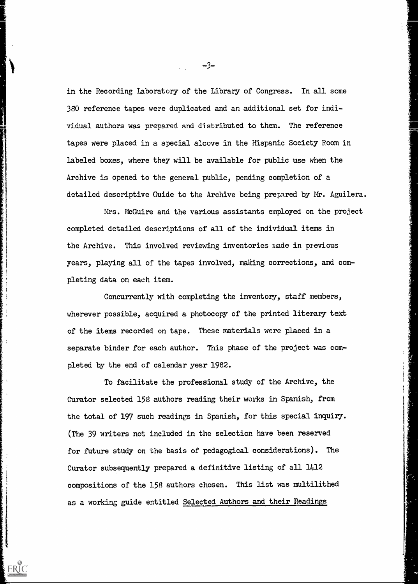in the Recording Laboratory of the Library of Congress. In all some 380 reference tapes were duplicated and an additional set for individual authors was prepared and distributed to them. The reference tapes were placed in a special alcove in the Hispanic Society Room in labeled boxes, where they will be available for public use when the Archive is opened to the general public, pending completion of a detailed descriptive Guide to the Archive being prepared by Mr. Aguilera.

Mrs. McGuire and the various assistants employed on the project completed detailed descriptions of all of the individual items in the Archive. This involved reviewing inventories made in previous years, playing all of the tapes involved, making corrections, and completing data on each item.

Concurrently with completing the inventory, staff members, wherever possible, acquired a photocopy of the printed literary text of the items recorded on tape. These materials were placed in a separate binder for each author. This phase of the project was completed by the end of calendar year 1962.

 $\mathcal{N}$ 

ERIC

To facilitate the professional study of the Archive, the Curator selected 158 authors reading their works in Spanish, from the total of 197 such readings in Spanish, for this special inquiry. (The 39 writers not included in the selection have been reserved for future study on the basis of pedagogical considerations). The Curator subsequently prepared a definitive listing of all 1412 compositions of the 158 authors chosen. This list was multilithed as a working guide entitled Selected Authors and their Readings

 $-3-$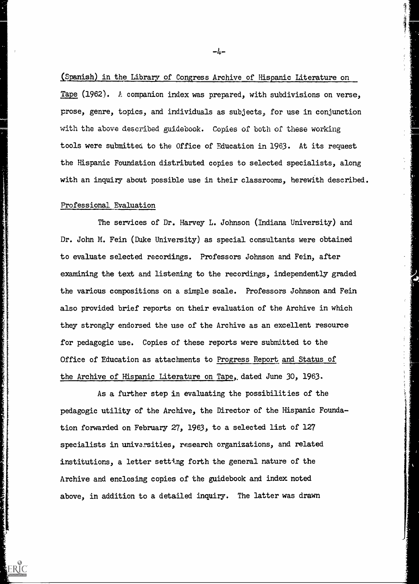(Spanish) in the Library of Congress Archive of Hispanic Literature on Tape (1962). A companion index was prepared, with subdivisions on verse, prose, genre, topics, and individuals as subjects, for use in conjunction with the above described guidebook. Copies of both of these working tools were submitted to the Office of Education in 1963. At its request the Hispanic Foundation distributed copies to selected specialists, along with an inquiry about possible use in their classrooms, herewith described.

#### Professional Evaluation

ERIC

The services of Dr. Harvey L. Johnson (Indiana University) and Dr. John M. Fein (Duke University) as special consultants were obtained to evaluate selected recordings. Professors Johnson and Fein, after examining the text and listening to the recordings, independently graded the various compositions on a simple scale. Professors Johnson and Fein also provided brief reports on their evaluation of the Archive in which they strongly endorsed the use of the Archive as an excellent resource for pedagogic use. Copies of these reports were submitted to the Office of Education as attachments to Progress Report and Status of the Archive of Hispanic Literature on Tape,, dated June 30, 1963.

As a further step in evaluating the possibilities of the pedagogic utility of the Archive, the Director of the Hispanic Foundation forwarded on February 27, 1963, to a selected list of 127 specialists in univarsities, research organizations, and related institutions, a letter setting forth the general nature of the Archive and enclosing copies of the guidebook and index noted above, in addition to a detailed inquiry. The latter was drawn

-4-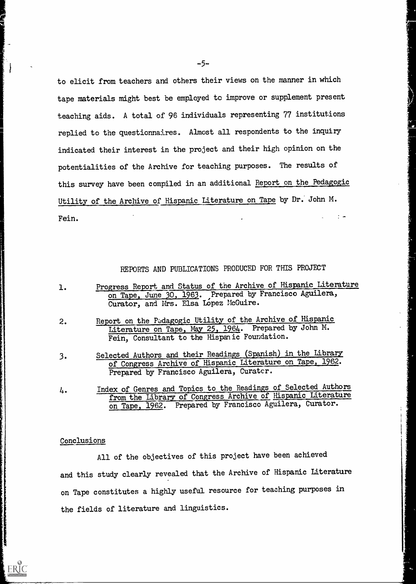to elicit from teachers and others their views on the manner in which tape materials might best be employed to improve or supplement present teaching aids. A total of 96 individuals representing 77 institutions replied to the questionnaires. Almost all respondents to the inquiry indicated their interest in the project and their high opinion on the potentialities of the Archive for teaching purposes. The results of this survey have been compiled in an additional Report on the Pedagogic Utility of the Archive of Hispanic Literature on Tape by Dr. John M.  $\frac{1}{2}$   $\rightarrow$ Fein.

REPORTS AND PUBLICATIONS PRODUCED FOR THIS PROJECT

- 1. Progress Report and Status of the Archive of Hispanic Literature on Tape, June 30, 1963. Prepared by Francisco Aguilera, Curator, and Mrs. Elsa Lopez McGuire.
- 2. Report on the Padagogic Utility of the Archive of Hispanic Literature on Tape, May 25, 1964. Prepared by John M. Fein, Consultant to the Hispanic Foundation.
- 3. Selected Authors and their Readings (Spanish) in the Library of Congress Archive of Hispanic Literature on Tape, 1962. Prepared by Francisco Aguilera, Curator.
- 4. Index of Genres and Topics to the Readings of Selected Authors from the Library of Congress Archive of Hispanic Literature on Tape, 1962. Prepared by Francisco Aguilera, Curator.

#### Conclusions

ERIC

All of the objectives of this project have been achieved and this study clearly revealed that the Archive of Hispanic Literature on Tape constitutes a highly useful resource for teaching purposes in the fields of literature and linguistics.